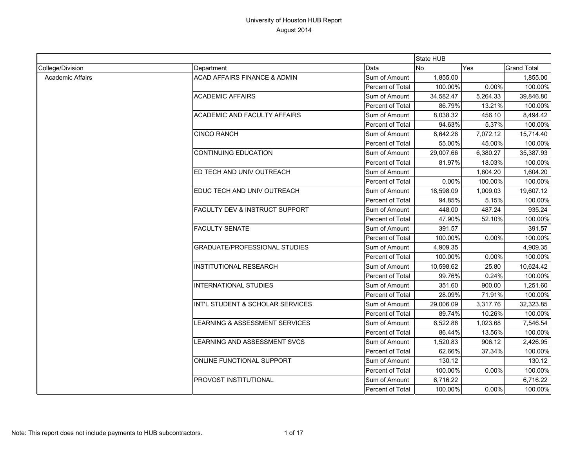|                         |                                           |                  | State HUB |          |                    |
|-------------------------|-------------------------------------------|------------------|-----------|----------|--------------------|
| College/Division        | Department                                | Data             | <b>No</b> | Yes      | <b>Grand Total</b> |
| <b>Academic Affairs</b> | <b>ACAD AFFAIRS FINANCE &amp; ADMIN</b>   | Sum of Amount    | 1,855.00  |          | 1,855.00           |
|                         |                                           | Percent of Total | 100.00%   | 0.00%    | 100.00%            |
|                         | <b>ACADEMIC AFFAIRS</b>                   | Sum of Amount    | 34,582.47 | 5,264.33 | 39,846.80          |
|                         |                                           | Percent of Total | 86.79%    | 13.21%   | 100.00%            |
|                         | <b>ACADEMIC AND FACULTY AFFAIRS</b>       | Sum of Amount    | 8.038.32  | 456.10   | 8,494.42           |
|                         |                                           | Percent of Total | 94.63%    | 5.37%    | 100.00%            |
|                         | <b>CINCO RANCH</b>                        | Sum of Amount    | 8,642.28  | 7,072.12 | 15,714.40          |
|                         |                                           | Percent of Total | 55.00%    | 45.00%   | 100.00%            |
|                         | <b>CONTINUING EDUCATION</b>               | Sum of Amount    | 29,007.66 | 6,380.27 | 35,387.93          |
|                         |                                           | Percent of Total | 81.97%    | 18.03%   | 100.00%            |
|                         | ED TECH AND UNIV OUTREACH                 | Sum of Amount    |           | 1,604.20 | 1,604.20           |
|                         |                                           | Percent of Total | 0.00%     | 100.00%  | 100.00%            |
|                         | EDUC TECH AND UNIV OUTREACH               | Sum of Amount    | 18,598.09 | 1,009.03 | 19,607.12          |
|                         |                                           | Percent of Total | 94.85%    | 5.15%    | 100.00%            |
|                         | <b>FACULTY DEV &amp; INSTRUCT SUPPORT</b> | Sum of Amount    | 448.00    | 487.24   | 935.24             |
|                         |                                           | Percent of Total | 47.90%    | 52.10%   | 100.00%            |
|                         | <b>FACULTY SENATE</b>                     | Sum of Amount    | 391.57    |          | 391.57             |
|                         |                                           | Percent of Total | 100.00%   | $0.00\%$ | 100.00%            |
|                         | <b>GRADUATE/PROFESSIONAL STUDIES</b>      | Sum of Amount    | 4,909.35  |          | 4,909.35           |
|                         |                                           | Percent of Total | 100.00%   | 0.00%    | 100.00%            |
|                         | <b>INSTITUTIONAL RESEARCH</b>             | Sum of Amount    | 10,598.62 | 25.80    | 10,624.42          |
|                         |                                           | Percent of Total | 99.76%    | 0.24%    | 100.00%            |
|                         | <b>INTERNATIONAL STUDIES</b>              | Sum of Amount    | 351.60    | 900.00   | 1,251.60           |
|                         |                                           | Percent of Total | 28.09%    | 71.91%   | 100.00%            |
|                         | INT'L STUDENT & SCHOLAR SERVICES          | Sum of Amount    | 29,006.09 | 3,317.76 | 32,323.85          |
|                         |                                           | Percent of Total | 89.74%    | 10.26%   | 100.00%            |
|                         | LEARNING & ASSESSMENT SERVICES            | Sum of Amount    | 6,522.86  | 1,023.68 | 7,546.54           |
|                         |                                           | Percent of Total | 86.44%    | 13.56%   | 100.00%            |
|                         | LEARNING AND ASSESSMENT SVCS              | Sum of Amount    | 1,520.83  | 906.12   | 2.426.95           |
|                         |                                           | Percent of Total | 62.66%    | 37.34%   | 100.00%            |
|                         | ONLINE FUNCTIONAL SUPPORT                 | Sum of Amount    | 130.12    |          | 130.12             |
|                         |                                           | Percent of Total | 100.00%   | 0.00%    | 100.00%            |
|                         | PROVOST INSTITUTIONAL                     | Sum of Amount    | 6,716.22  |          | 6,716.22           |
|                         |                                           | Percent of Total | 100.00%   | $0.00\%$ | 100.00%            |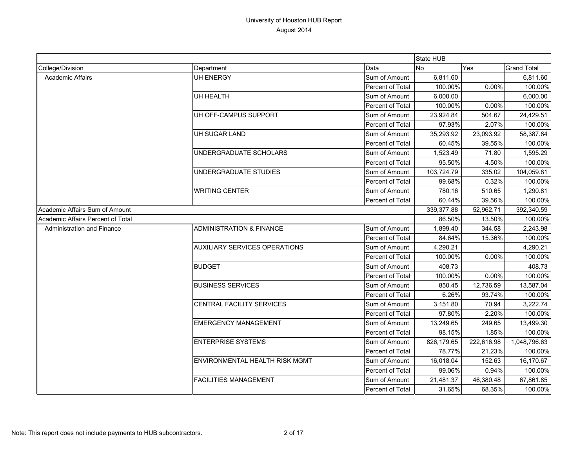|                                   |                                      |                  | State HUB  |            |                    |
|-----------------------------------|--------------------------------------|------------------|------------|------------|--------------------|
| College/Division                  | Department                           | Data             | No         | Yes        | <b>Grand Total</b> |
| Academic Affairs                  | <b>UH ENERGY</b>                     | Sum of Amount    | 6,811.60   |            | 6,811.60           |
|                                   |                                      | Percent of Total | 100.00%    | 0.00%      | 100.00%            |
|                                   | <b>UH HEALTH</b>                     | Sum of Amount    | 6,000.00   |            | 6,000.00           |
|                                   |                                      | Percent of Total | 100.00%    | 0.00%      | 100.00%            |
|                                   | UH OFF-CAMPUS SUPPORT                | Sum of Amount    | 23,924.84  | 504.67     | 24,429.51          |
|                                   |                                      | Percent of Total | 97.93%     | 2.07%      | 100.00%            |
|                                   | UH SUGAR LAND                        | Sum of Amount    | 35,293.92  | 23,093.92  | 58,387.84          |
|                                   |                                      | Percent of Total | 60.45%     | 39.55%     | 100.00%            |
|                                   | UNDERGRADUATE SCHOLARS               | Sum of Amount    | 1,523.49   | 71.80      | 1,595.29           |
|                                   |                                      | Percent of Total | 95.50%     | 4.50%      | 100.00%            |
|                                   | UNDERGRADUATE STUDIES                | Sum of Amount    | 103,724.79 | 335.02     | 104,059.81         |
|                                   |                                      | Percent of Total | 99.68%     | 0.32%      | 100.00%            |
|                                   | <b>WRITING CENTER</b>                | Sum of Amount    | 780.16     | 510.65     | 1,290.81           |
|                                   |                                      | Percent of Total | 60.44%     | 39.56%     | 100.00%            |
| Academic Affairs Sum of Amount    |                                      | 339,377.88       | 52,962.71  | 392,340.59 |                    |
| Academic Affairs Percent of Total |                                      |                  | 86.50%     | 13.50%     | 100.00%            |
| <b>Administration and Finance</b> | <b>ADMINISTRATION &amp; FINANCE</b>  | Sum of Amount    | 1,899.40   | 344.58     | 2,243.98           |
|                                   |                                      | Percent of Total | 84.64%     | 15.36%     | 100.00%            |
|                                   | <b>AUXILIARY SERVICES OPERATIONS</b> | Sum of Amount    | 4,290.21   |            | 4,290.21           |
|                                   |                                      | Percent of Total | 100.00%    | 0.00%      | 100.00%            |
|                                   | <b>BUDGET</b>                        | Sum of Amount    | 408.73     |            | 408.73             |
|                                   |                                      | Percent of Total | 100.00%    | 0.00%      | 100.00%            |
|                                   | <b>BUSINESS SERVICES</b>             | Sum of Amount    | 850.45     | 12,736.59  | 13,587.04          |
|                                   |                                      | Percent of Total | 6.26%      | 93.74%     | 100.00%            |
|                                   | <b>CENTRAL FACILITY SERVICES</b>     | Sum of Amount    | 3,151.80   | 70.94      | 3,222.74           |
|                                   |                                      | Percent of Total | 97.80%     | 2.20%      | 100.00%            |
|                                   | <b>EMERGENCY MANAGEMENT</b>          | Sum of Amount    | 13,249.65  | 249.65     | 13,499.30          |
|                                   |                                      | Percent of Total | 98.15%     | 1.85%      | 100.00%            |
|                                   | <b>ENTERPRISE SYSTEMS</b>            | Sum of Amount    | 826,179.65 | 222,616.98 | 1,048,796.63       |
|                                   |                                      | Percent of Total | 78.77%     | 21.23%     | 100.00%            |
|                                   | ENVIRONMENTAL HEALTH RISK MGMT       | Sum of Amount    | 16,018.04  | 152.63     | 16,170.67          |
|                                   |                                      | Percent of Total | 99.06%     | 0.94%      | 100.00%            |
|                                   | <b>FACILITIES MANAGEMENT</b>         | Sum of Amount    | 21,481.37  | 46,380.48  | 67,861.85          |
|                                   |                                      | Percent of Total | 31.65%     | 68.35%     | 100.00%            |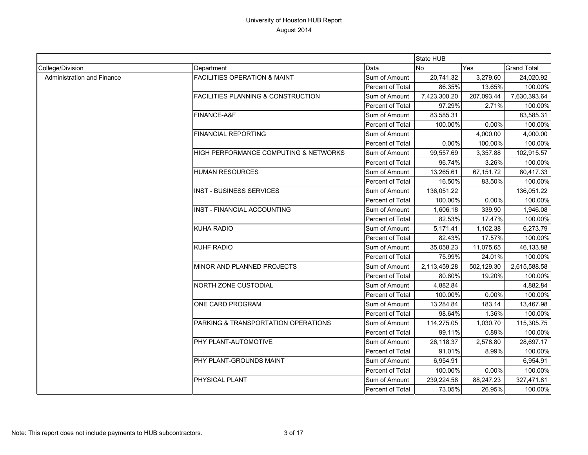|                            |                                               |                  | State HUB    |            |                    |
|----------------------------|-----------------------------------------------|------------------|--------------|------------|--------------------|
| College/Division           | Department                                    | Data             | No           | Yes        | <b>Grand Total</b> |
| Administration and Finance | <b>FACILITIES OPERATION &amp; MAINT</b>       | Sum of Amount    | 20,741.32    | 3,279.60   | 24,020.92          |
|                            |                                               | Percent of Total | 86.35%       | 13.65%     | 100.00%            |
|                            | <b>FACILITIES PLANNING &amp; CONSTRUCTION</b> | Sum of Amount    | 7,423,300.20 | 207,093.44 | 7,630,393.64       |
|                            |                                               | Percent of Total | 97.29%       | 2.71%      | 100.00%            |
|                            | FINANCE-A&F                                   | Sum of Amount    | 83,585.31    |            | 83,585.31          |
|                            |                                               | Percent of Total | 100.00%      | 0.00%      | 100.00%            |
|                            | <b>FINANCIAL REPORTING</b>                    | Sum of Amount    |              | 4,000.00   | 4,000.00           |
|                            |                                               | Percent of Total | 0.00%        | 100.00%    | 100.00%            |
|                            | HIGH PERFORMANCE COMPUTING & NETWORKS         | Sum of Amount    | 99,557.69    | 3,357.88   | 102,915.57         |
|                            |                                               | Percent of Total | 96.74%       | 3.26%      | 100.00%            |
|                            | <b>HUMAN RESOURCES</b>                        | Sum of Amount    | 13,265.61    | 67,151.72  | 80,417.33          |
|                            |                                               | Percent of Total | 16.50%       | 83.50%     | 100.00%            |
|                            | <b>INST - BUSINESS SERVICES</b>               | Sum of Amount    | 136,051.22   |            | 136,051.22         |
|                            |                                               | Percent of Total | 100.00%      | 0.00%      | 100.00%            |
|                            | <b>INST - FINANCIAL ACCOUNTING</b>            | Sum of Amount    | 1,606.18     | 339.90     | 1,946.08           |
|                            |                                               | Percent of Total | 82.53%       | 17.47%     | 100.00%            |
|                            | <b>KUHA RADIO</b>                             | Sum of Amount    | 5,171.41     | 1,102.38   | 6,273.79           |
|                            |                                               | Percent of Total | 82.43%       | 17.57%     | 100.00%            |
|                            | <b>KUHF RADIO</b>                             | Sum of Amount    | 35,058.23    | 11,075.65  | 46,133.88          |
|                            |                                               | Percent of Total | 75.99%       | 24.01%     | 100.00%            |
|                            | MINOR AND PLANNED PROJECTS                    | Sum of Amount    | 2,113,459.28 | 502,129.30 | 2,615,588.58       |
|                            |                                               | Percent of Total | 80.80%       | 19.20%     | 100.00%            |
|                            | NORTH ZONE CUSTODIAL                          | Sum of Amount    | 4,882.84     |            | 4,882.84           |
|                            |                                               | Percent of Total | 100.00%      | 0.00%      | 100.00%            |
|                            | ONE CARD PROGRAM                              | Sum of Amount    | 13,284.84    | 183.14     | 13,467.98          |
|                            |                                               | Percent of Total | 98.64%       | 1.36%      | 100.00%            |
|                            | PARKING & TRANSPORTATION OPERATIONS           | Sum of Amount    | 114,275.05   | 1,030.70   | 115,305.75         |
|                            |                                               | Percent of Total | 99.11%       | 0.89%      | 100.00%            |
|                            | PHY PLANT-AUTOMOTIVE                          | Sum of Amount    | 26,118.37    | 2,578.80   | 28,697.17          |
|                            |                                               | Percent of Total | 91.01%       | 8.99%      | 100.00%            |
|                            | PHY PLANT-GROUNDS MAINT                       | Sum of Amount    | 6,954.91     |            | 6,954.91           |
|                            |                                               | Percent of Total | 100.00%      | 0.00%      | 100.00%            |
|                            | PHYSICAL PLANT                                | Sum of Amount    | 239,224.58   | 88,247.23  | 327,471.81         |
|                            |                                               | Percent of Total | 73.05%       | 26.95%     | 100.00%            |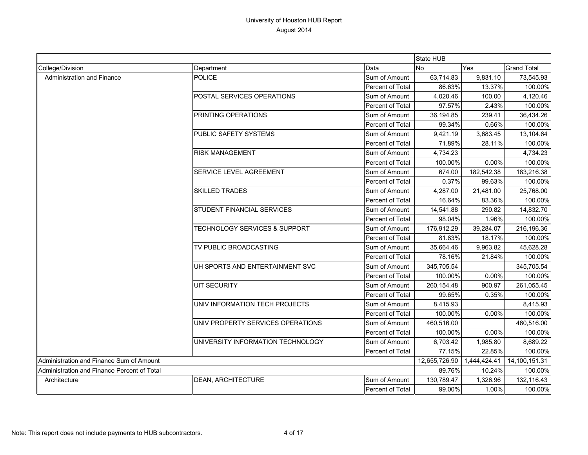|                                             |                                   |                  | State HUB    |               |                    |
|---------------------------------------------|-----------------------------------|------------------|--------------|---------------|--------------------|
| College/Division                            | Department                        | Data             | <b>No</b>    | Yes           | <b>Grand Total</b> |
| Administration and Finance                  | POLICE                            | Sum of Amount    | 63,714.83    | 9,831.10      | 73,545.93          |
|                                             |                                   | Percent of Total | 86.63%       | 13.37%        | 100.00%            |
|                                             | POSTAL SERVICES OPERATIONS        | Sum of Amount    | 4,020.46     | 100.00        | 4,120.46           |
|                                             |                                   | Percent of Total | 97.57%       | 2.43%         | 100.00%            |
|                                             | PRINTING OPERATIONS               | Sum of Amount    | 36,194.85    | 239.41        | 36,434.26          |
|                                             |                                   | Percent of Total | 99.34%       | 0.66%         | 100.00%            |
|                                             | PUBLIC SAFETY SYSTEMS             | Sum of Amount    | 9,421.19     | 3,683.45      | 13,104.64          |
|                                             |                                   | Percent of Total | 71.89%       | 28.11%        | 100.00%            |
|                                             | <b>RISK MANAGEMENT</b>            | Sum of Amount    | 4,734.23     |               | 4,734.23           |
|                                             |                                   | Percent of Total | 100.00%      | 0.00%         | 100.00%            |
|                                             | SERVICE LEVEL AGREEMENT           | Sum of Amount    | 674.00       | 182,542.38    | 183,216.38         |
|                                             |                                   | Percent of Total | 0.37%        | 99.63%        | 100.00%            |
|                                             | <b>SKILLED TRADES</b>             | Sum of Amount    | 4,287.00     | 21,481.00     | 25,768.00          |
|                                             |                                   | Percent of Total | 16.64%       | 83.36%        | 100.00%            |
|                                             | STUDENT FINANCIAL SERVICES        | Sum of Amount    | 14,541.88    | 290.82        | 14,832.70          |
|                                             |                                   | Percent of Total | 98.04%       | 1.96%         | 100.00%            |
|                                             | TECHNOLOGY SERVICES & SUPPORT     | Sum of Amount    | 176,912.29   | 39,284.07     | 216,196.36         |
|                                             |                                   | Percent of Total | 81.83%       | 18.17%        | 100.00%            |
|                                             | TV PUBLIC BROADCASTING            | Sum of Amount    | 35,664.46    | 9,963.82      | 45,628.28          |
|                                             |                                   | Percent of Total | 78.16%       | 21.84%        | 100.00%            |
|                                             | UH SPORTS AND ENTERTAINMENT SVC   | Sum of Amount    | 345,705.54   |               | 345,705.54         |
|                                             |                                   | Percent of Total | 100.00%      | 0.00%         | 100.00%            |
|                                             | <b>UIT SECURITY</b>               | Sum of Amount    | 260,154.48   | 900.97        | 261,055.45         |
|                                             |                                   | Percent of Total | 99.65%       | 0.35%         | 100.00%            |
|                                             | UNIV INFORMATION TECH PROJECTS    | Sum of Amount    | 8,415.93     |               | 8,415.93           |
|                                             |                                   | Percent of Total | 100.00%      | 0.00%         | 100.00%            |
|                                             | UNIV PROPERTY SERVICES OPERATIONS | Sum of Amount    | 460,516.00   |               | 460,516.00         |
|                                             |                                   | Percent of Total | 100.00%      | 0.00%         | 100.00%            |
|                                             | UNIVERSITY INFORMATION TECHNOLOGY | Sum of Amount    | 6,703.42     | 1,985.80      | 8,689.22           |
|                                             |                                   | Percent of Total | 77.15%       | 22.85%        | 100.00%            |
| Administration and Finance Sum of Amount    |                                   | 12,655,726.90    | 1,444,424.41 | 14,100,151.31 |                    |
| Administration and Finance Percent of Total |                                   |                  | 89.76%       | 10.24%        | 100.00%            |
| Architecture                                | <b>DEAN, ARCHITECTURE</b>         | Sum of Amount    | 130,789.47   | 1,326.96      | 132,116.43         |
|                                             |                                   | Percent of Total | 99.00%       | 1.00%         | 100.00%            |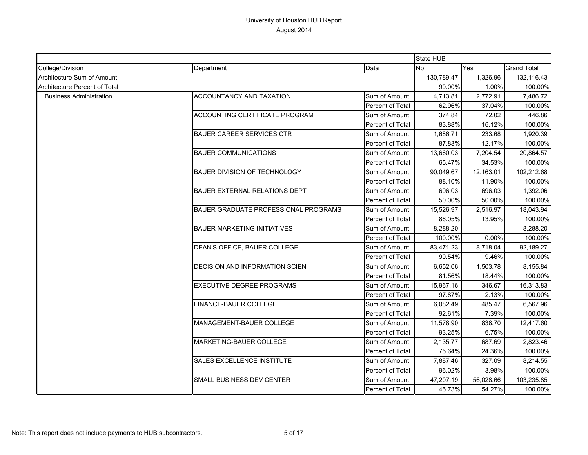|                                |                                             |                         | <b>State HUB</b> |           |                    |
|--------------------------------|---------------------------------------------|-------------------------|------------------|-----------|--------------------|
| College/Division               | Department                                  | Data                    | <b>No</b>        | Yes       | <b>Grand Total</b> |
| Architecture Sum of Amount     |                                             |                         | 130,789.47       | 1,326.96  | 132,116.43         |
| Architecture Percent of Total  |                                             |                         | 99.00%           | 1.00%     | 100.00%            |
| <b>Business Administration</b> | <b>ACCOUNTANCY AND TAXATION</b>             | Sum of Amount           | 4,713.81         | 2,772.91  | 7,486.72           |
|                                |                                             | Percent of Total        | 62.96%           | 37.04%    | 100.00%            |
|                                | <b>ACCOUNTING CERTIFICATE PROGRAM</b>       | Sum of Amount           | 374.84           | 72.02     | 446.86             |
|                                |                                             | <b>Percent of Total</b> | 83.88%           | 16.12%    | 100.00%            |
|                                | <b>BAUER CAREER SERVICES CTR</b>            | Sum of Amount           | 1,686.71         | 233.68    | 1,920.39           |
|                                |                                             | <b>Percent of Total</b> | 87.83%           | 12.17%    | 100.00%            |
|                                | <b>BAUER COMMUNICATIONS</b>                 | Sum of Amount           | 13,660.03        | 7,204.54  | 20,864.57          |
|                                |                                             | Percent of Total        | 65.47%           | 34.53%    | 100.00%            |
|                                | <b>BAUER DIVISION OF TECHNOLOGY</b>         | Sum of Amount           | 90,049.67        | 12,163.01 | 102,212.68         |
|                                |                                             | Percent of Total        | 88.10%           | 11.90%    | 100.00%            |
|                                | <b>BAUER EXTERNAL RELATIONS DEPT</b>        | Sum of Amount           | 696.03           | 696.03    | 1,392.06           |
|                                |                                             | Percent of Total        | 50.00%           | 50.00%    | 100.00%            |
|                                | <b>BAUER GRADUATE PROFESSIONAL PROGRAMS</b> | Sum of Amount           | 15,526.97        | 2,516.97  | 18,043.94          |
|                                |                                             | Percent of Total        | 86.05%           | 13.95%    | 100.00%            |
|                                | <b>BAUER MARKETING INITIATIVES</b>          | Sum of Amount           | 8,288.20         |           | 8,288.20           |
|                                |                                             | <b>Percent of Total</b> | 100.00%          | 0.00%     | 100.00%            |
|                                | DEAN'S OFFICE, BAUER COLLEGE                | Sum of Amount           | 83,471.23        | 8,718.04  | 92,189.27          |
|                                |                                             | Percent of Total        | 90.54%           | 9.46%     | 100.00%            |
|                                | DECISION AND INFORMATION SCIEN              | Sum of Amount           | 6,652.06         | 1,503.78  | 8,155.84           |
|                                |                                             | Percent of Total        | 81.56%           | 18.44%    | 100.00%            |
|                                | <b>EXECUTIVE DEGREE PROGRAMS</b>            | Sum of Amount           | 15,967.16        | 346.67    | 16,313.83          |
|                                |                                             | Percent of Total        | 97.87%           | 2.13%     | 100.00%            |
|                                | FINANCE-BAUER COLLEGE                       | Sum of Amount           | 6,082.49         | 485.47    | 6,567.96           |
|                                |                                             | <b>Percent of Total</b> | 92.61%           | 7.39%     | 100.00%            |
|                                | <b>MANAGEMENT-BAUER COLLEGE</b>             | Sum of Amount           | 11,578.90        | 838.70    | 12,417.60          |
|                                |                                             | Percent of Total        | 93.25%           | 6.75%     | 100.00%            |
|                                | <b>MARKETING-BAUER COLLEGE</b>              | Sum of Amount           | 2,135.77         | 687.69    | 2,823.46           |
|                                |                                             | Percent of Total        | 75.64%           | 24.36%    | 100.00%            |
|                                | <b>SALES EXCELLENCE INSTITUTE</b>           | Sum of Amount           | 7,887.46         | 327.09    | 8,214.55           |
|                                |                                             | Percent of Total        | 96.02%           | 3.98%     | 100.00%            |
|                                | SMALL BUSINESS DEV CENTER                   | Sum of Amount           | 47,207.19        | 56,028.66 | 103,235.85         |
|                                |                                             | Percent of Total        | 45.73%           | 54.27%    | 100.00%            |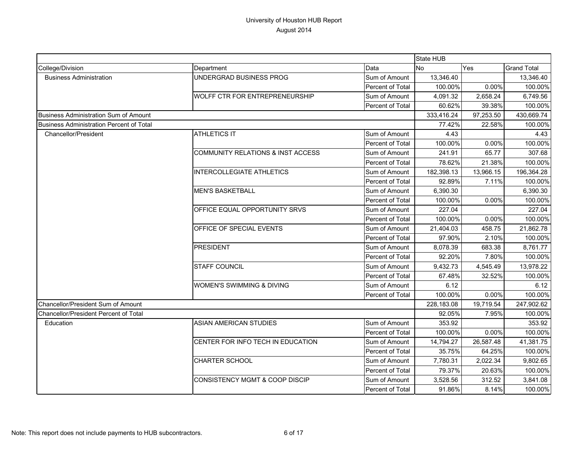|                                              |                                              |                  | State HUB  |           |                    |
|----------------------------------------------|----------------------------------------------|------------------|------------|-----------|--------------------|
| College/Division                             | Department                                   | Data             | <b>No</b>  | Yes       | <b>Grand Total</b> |
| <b>Business Administration</b>               | UNDERGRAD BUSINESS PROG                      | Sum of Amount    | 13,346.40  |           | 13,346.40          |
|                                              |                                              | Percent of Total | 100.00%    | 0.00%     | 100.00%            |
|                                              | WOLFF CTR FOR ENTREPRENEURSHIP               | Sum of Amount    | 4,091.32   | 2.658.24  | 6,749.56           |
|                                              |                                              | Percent of Total | 60.62%     | 39.38%    | 100.00%            |
| Business Administration Sum of Amount        |                                              |                  | 333,416.24 | 97,253.50 | 430,669.74         |
| Business Administration Percent of Total     |                                              |                  | 77.42%     | 22.58%    | 100.00%            |
| Chancellor/President                         | <b>ATHLETICS IT</b>                          | Sum of Amount    | 4.43       |           | 4.43               |
|                                              |                                              | Percent of Total | 100.00%    | 0.00%     | 100.00%            |
|                                              | <b>COMMUNITY RELATIONS &amp; INST ACCESS</b> | Sum of Amount    | 241.91     | 65.77     | 307.68             |
|                                              |                                              | Percent of Total | 78.62%     | 21.38%    | 100.00%            |
|                                              | <b>INTERCOLLEGIATE ATHLETICS</b>             | Sum of Amount    | 182,398.13 | 13,966.15 | 196,364.28         |
|                                              |                                              | Percent of Total | 92.89%     | 7.11%     | 100.00%            |
|                                              | <b>MEN'S BASKETBALL</b>                      | Sum of Amount    | 6,390.30   |           | 6,390.30           |
|                                              |                                              | Percent of Total | 100.00%    | $0.00\%$  | 100.00%            |
|                                              | OFFICE EQUAL OPPORTUNITY SRVS                | Sum of Amount    | 227.04     |           | 227.04             |
|                                              |                                              | Percent of Total | 100.00%    | 0.00%     | 100.00%            |
|                                              | OFFICE OF SPECIAL EVENTS                     | Sum of Amount    | 21,404.03  | 458.75    | 21,862.78          |
|                                              |                                              | Percent of Total | 97.90%     | 2.10%     | 100.00%            |
|                                              | <b>PRESIDENT</b>                             | Sum of Amount    | 8,078.39   | 683.38    | 8,761.77           |
|                                              |                                              | Percent of Total | 92.20%     | 7.80%     | 100.00%            |
|                                              | <b>STAFF COUNCIL</b>                         | Sum of Amount    | 9,432.73   | 4,545.49  | 13,978.22          |
|                                              |                                              | Percent of Total | 67.48%     | 32.52%    | 100.00%            |
|                                              | WOMEN'S SWIMMING & DIVING                    | Sum of Amount    | 6.12       |           | 6.12               |
|                                              |                                              | Percent of Total | 100.00%    | $0.00\%$  | 100.00%            |
| Chancellor/President Sum of Amount           |                                              |                  | 228,183.08 | 19,719.54 | 247,902.62         |
| <b>Chancellor/President Percent of Total</b> |                                              |                  | 92.05%     | 7.95%     | 100.00%            |
| Education                                    | <b>ASIAN AMERICAN STUDIES</b>                | Sum of Amount    | 353.92     |           | 353.92             |
|                                              |                                              | Percent of Total | 100.00%    | $0.00\%$  | 100.00%            |
|                                              | CENTER FOR INFO TECH IN EDUCATION            | Sum of Amount    | 14,794.27  | 26,587.48 | 41,381.75          |
|                                              |                                              | Percent of Total | 35.75%     | 64.25%    | 100.00%            |
|                                              | <b>CHARTER SCHOOL</b>                        | Sum of Amount    | 7,780.31   | 2,022.34  | 9,802.65           |
|                                              |                                              | Percent of Total | 79.37%     | 20.63%    | 100.00%            |
|                                              | <b>CONSISTENCY MGMT &amp; COOP DISCIP</b>    | Sum of Amount    | 3,528.56   | 312.52    | 3,841.08           |
|                                              |                                              | Percent of Total | 91.86%     | 8.14%     | 100.00%            |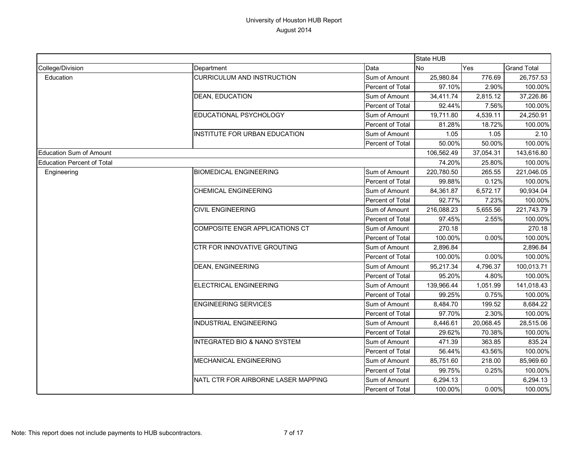|                                   |                                         |                         | <b>State HUB</b> |           |                    |
|-----------------------------------|-----------------------------------------|-------------------------|------------------|-----------|--------------------|
| College/Division                  | Department                              | Data                    | No               | Yes       | <b>Grand Total</b> |
| Education                         | <b>CURRICULUM AND INSTRUCTION</b>       | Sum of Amount           | 25,980.84        | 776.69    | 26,757.53          |
|                                   |                                         | Percent of Total        | 97.10%           | 2.90%     | 100.00%            |
|                                   | <b>DEAN, EDUCATION</b>                  | Sum of Amount           | 34,411.74        | 2,815.12  | 37,226.86          |
|                                   |                                         | Percent of Total        | 92.44%           | 7.56%     | 100.00%            |
|                                   | EDUCATIONAL PSYCHOLOGY                  | Sum of Amount           | 19,711.80        | 4,539.11  | 24,250.91          |
|                                   |                                         | <b>Percent of Total</b> | 81.28%           | 18.72%    | 100.00%            |
|                                   | INSTITUTE FOR URBAN EDUCATION           | Sum of Amount           | 1.05             | 1.05      | 2.10               |
|                                   |                                         | Percent of Total        | 50.00%           | 50.00%    | 100.00%            |
| <b>Education Sum of Amount</b>    |                                         |                         | 106,562.49       | 37,054.31 | 143,616.80         |
| <b>Education Percent of Total</b> |                                         |                         | 74.20%           | 25.80%    | 100.00%            |
| Engineering                       | <b>BIOMEDICAL ENGINEERING</b>           | Sum of Amount           | 220,780.50       | 265.55    | 221,046.05         |
|                                   |                                         | Percent of Total        | 99.88%           | 0.12%     | 100.00%            |
|                                   | <b>CHEMICAL ENGINEERING</b>             | Sum of Amount           | 84,361.87        | 6,572.17  | 90,934.04          |
|                                   |                                         | Percent of Total        | 92.77%           | 7.23%     | 100.00%            |
|                                   | <b>CIVIL ENGINEERING</b>                | Sum of Amount           | 216,088.23       | 5,655.56  | 221,743.79         |
|                                   |                                         | Percent of Total        | 97.45%           | 2.55%     | 100.00%            |
|                                   | COMPOSITE ENGR APPLICATIONS CT          | Sum of Amount           | 270.18           |           | 270.18             |
|                                   |                                         | Percent of Total        | 100.00%          | 0.00%     | 100.00%            |
|                                   | CTR FOR INNOVATIVE GROUTING             | Sum of Amount           | 2,896.84         |           | 2,896.84           |
|                                   |                                         | Percent of Total        | 100.00%          | 0.00%     | 100.00%            |
|                                   | <b>DEAN, ENGINEERING</b>                | Sum of Amount           | 95,217.34        | 4,796.37  | 100,013.71         |
|                                   |                                         | Percent of Total        | 95.20%           | 4.80%     | 100.00%            |
|                                   | ELECTRICAL ENGINEERING                  | Sum of Amount           | 139,966.44       | 1,051.99  | 141,018.43         |
|                                   |                                         | Percent of Total        | 99.25%           | 0.75%     | 100.00%            |
|                                   | <b>ENGINEERING SERVICES</b>             | Sum of Amount           | 8,484.70         | 199.52    | 8,684.22           |
|                                   |                                         | Percent of Total        | 97.70%           | 2.30%     | 100.00%            |
|                                   | <b>INDUSTRIAL ENGINEERING</b>           | Sum of Amount           | 8,446.61         | 20,068.45 | 28,515.06          |
|                                   |                                         | Percent of Total        | 29.62%           | 70.38%    | 100.00%            |
|                                   | <b>INTEGRATED BIO &amp; NANO SYSTEM</b> | Sum of Amount           | 471.39           | 363.85    | 835.24             |
|                                   |                                         | Percent of Total        | 56.44%           | 43.56%    | 100.00%            |
|                                   | MECHANICAL ENGINEERING                  | Sum of Amount           | 85,751.60        | 218.00    | 85,969.60          |
|                                   |                                         | Percent of Total        | 99.75%           | 0.25%     | 100.00%            |
|                                   | NATL CTR FOR AIRBORNE LASER MAPPING     | Sum of Amount           | 6,294.13         |           | 6,294.13           |
|                                   |                                         | Percent of Total        | 100.00%          | 0.00%     | 100.00%            |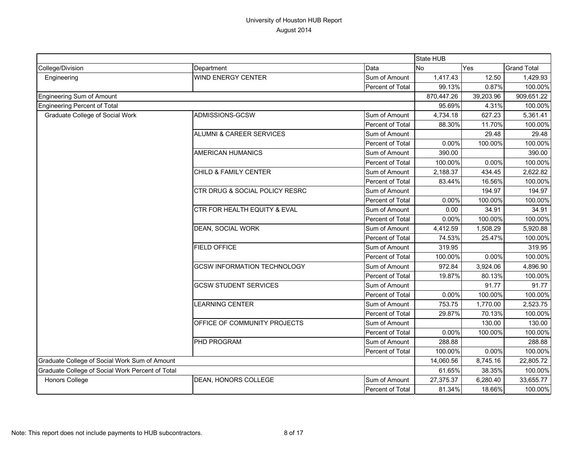|                                                  |                                     |                  | State HUB  |           |                    |
|--------------------------------------------------|-------------------------------------|------------------|------------|-----------|--------------------|
| College/Division                                 | Department                          | Data             | <b>No</b>  | Yes       | <b>Grand Total</b> |
| Engineering                                      | <b>WIND ENERGY CENTER</b>           | Sum of Amount    | 1,417.43   | 12.50     | 1,429.93           |
|                                                  |                                     | Percent of Total | 99.13%     | 0.87%     | 100.00%            |
| Engineering Sum of Amount                        |                                     |                  | 870,447.26 | 39,203.96 | 909,651.22         |
| Engineering Percent of Total                     |                                     |                  | 95.69%     | 4.31%     | 100.00%            |
| Graduate College of Social Work                  | ADMISSIONS-GCSW                     | Sum of Amount    | 4,734.18   | 627.23    | 5,361.41           |
|                                                  |                                     | Percent of Total | 88.30%     | 11.70%    | 100.00%            |
|                                                  | <b>ALUMNI &amp; CAREER SERVICES</b> | Sum of Amount    |            | 29.48     | 29.48              |
|                                                  |                                     | Percent of Total | 0.00%      | 100.00%   | 100.00%            |
|                                                  | <b>AMERICAN HUMANICS</b>            | Sum of Amount    | 390.00     |           | 390.00             |
|                                                  |                                     | Percent of Total | 100.00%    | 0.00%     | 100.00%            |
|                                                  | CHILD & FAMILY CENTER               | Sum of Amount    | 2,188.37   | 434.45    | 2,622.82           |
|                                                  |                                     | Percent of Total | 83.44%     | 16.56%    | 100.00%            |
|                                                  | CTR DRUG & SOCIAL POLICY RESRC      | Sum of Amount    |            | 194.97    | 194.97             |
|                                                  |                                     | Percent of Total | 0.00%      | 100.00%   | 100.00%            |
|                                                  | CTR FOR HEALTH EQUITY & EVAL        | Sum of Amount    | 0.00       | 34.91     | 34.91              |
|                                                  |                                     | Percent of Total | 0.00%      | 100.00%   | 100.00%            |
|                                                  | DEAN, SOCIAL WORK                   | Sum of Amount    | 4,412.59   | 1.508.29  | 5,920.88           |
|                                                  |                                     | Percent of Total | 74.53%     | 25.47%    | 100.00%            |
|                                                  | <b>FIELD OFFICE</b>                 | Sum of Amount    | 319.95     |           | 319.95             |
|                                                  |                                     | Percent of Total | 100.00%    | 0.00%     | 100.00%            |
|                                                  | <b>GCSW INFORMATION TECHNOLOGY</b>  | Sum of Amount    | 972.84     | 3,924.06  | 4,896.90           |
|                                                  |                                     | Percent of Total | 19.87%     | 80.13%    | 100.00%            |
|                                                  | <b>GCSW STUDENT SERVICES</b>        | Sum of Amount    |            | 91.77     | 91.77              |
|                                                  |                                     | Percent of Total | 0.00%      | 100.00%   | 100.00%            |
|                                                  | <b>LEARNING CENTER</b>              | Sum of Amount    | 753.75     | 1,770.00  | 2,523.75           |
|                                                  |                                     | Percent of Total | 29.87%     | 70.13%    | 100.00%            |
|                                                  | OFFICE OF COMMUNITY PROJECTS        | Sum of Amount    |            | 130.00    | 130.00             |
|                                                  |                                     | Percent of Total | 0.00%      | 100.00%   | 100.00%            |
|                                                  | PHD PROGRAM                         | Sum of Amount    | 288.88     |           | 288.88             |
|                                                  |                                     | Percent of Total | 100.00%    | $0.00\%$  | 100.00%            |
| Graduate College of Social Work Sum of Amount    |                                     | 14,060.56        | 8,745.16   | 22,805.72 |                    |
| Graduate College of Social Work Percent of Total |                                     |                  | 61.65%     | 38.35%    | 100.00%            |
| Honors College                                   | DEAN, HONORS COLLEGE                | Sum of Amount    | 27,375.37  | 6,280.40  | 33,655.77          |
|                                                  |                                     | Percent of Total | 81.34%     | 18.66%    | 100.00%            |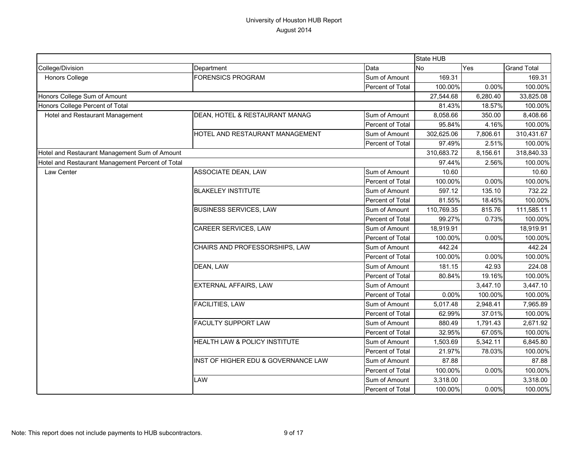|                                                  |                                     |                  | State HUB  |          |                    |
|--------------------------------------------------|-------------------------------------|------------------|------------|----------|--------------------|
| College/Division                                 | Department                          | Data             | No         | Yes      | <b>Grand Total</b> |
| Honors College                                   | <b>FORENSICS PROGRAM</b>            | Sum of Amount    | 169.31     |          | 169.31             |
|                                                  |                                     | Percent of Total | 100.00%    | 0.00%    | 100.00%            |
| Honors College Sum of Amount                     |                                     |                  | 27,544.68  | 6,280.40 | 33,825.08          |
| Honors College Percent of Total                  |                                     |                  | 81.43%     | 18.57%   | 100.00%            |
| Hotel and Restaurant Management                  | DEAN, HOTEL & RESTAURANT MANAG      | Sum of Amount    | 8,058.66   | 350.00   | 8,408.66           |
|                                                  |                                     | Percent of Total | 95.84%     | 4.16%    | 100.00%            |
|                                                  | HOTEL AND RESTAURANT MANAGEMENT     | Sum of Amount    | 302,625.06 | 7,806.61 | 310,431.67         |
|                                                  |                                     | Percent of Total | 97.49%     | 2.51%    | 100.00%            |
| Hotel and Restaurant Management Sum of Amount    |                                     |                  | 310,683.72 | 8,156.61 | 318,840.33         |
| Hotel and Restaurant Management Percent of Total |                                     |                  | 97.44%     | 2.56%    | 100.00%            |
| Law Center                                       | ASSOCIATE DEAN, LAW                 | Sum of Amount    | 10.60      |          | 10.60              |
|                                                  |                                     | Percent of Total | 100.00%    | 0.00%    | 100.00%            |
|                                                  | <b>BLAKELEY INSTITUTE</b>           | Sum of Amount    | 597.12     | 135.10   | 732.22             |
|                                                  |                                     | Percent of Total | 81.55%     | 18.45%   | 100.00%            |
|                                                  | <b>BUSINESS SERVICES, LAW</b>       | Sum of Amount    | 110,769.35 | 815.76   | 111,585.11         |
|                                                  |                                     | Percent of Total | 99.27%     | 0.73%    | 100.00%            |
|                                                  | CAREER SERVICES, LAW                | Sum of Amount    | 18,919.91  |          | 18,919.91          |
|                                                  |                                     | Percent of Total | 100.00%    | 0.00%    | 100.00%            |
|                                                  | CHAIRS AND PROFESSORSHIPS, LAW      | Sum of Amount    | 442.24     |          | 442.24             |
|                                                  |                                     | Percent of Total | 100.00%    | 0.00%    | 100.00%            |
|                                                  | DEAN, LAW                           | Sum of Amount    | 181.15     | 42.93    | 224.08             |
|                                                  |                                     | Percent of Total | 80.84%     | 19.16%   | 100.00%            |
|                                                  | EXTERNAL AFFAIRS, LAW               | Sum of Amount    |            | 3,447.10 | 3,447.10           |
|                                                  |                                     | Percent of Total | 0.00%      | 100.00%  | 100.00%            |
|                                                  | FACILITIES, LAW                     | Sum of Amount    | 5,017.48   | 2,948.41 | 7,965.89           |
|                                                  |                                     | Percent of Total | 62.99%     | 37.01%   | 100.00%            |
|                                                  | <b>FACULTY SUPPORT LAW</b>          | Sum of Amount    | 880.49     | 1,791.43 | 2,671.92           |
|                                                  |                                     | Percent of Total | 32.95%     | 67.05%   | 100.00%            |
|                                                  | HEALTH LAW & POLICY INSTITUTE       | Sum of Amount    | 1,503.69   | 5,342.11 | 6,845.80           |
|                                                  |                                     | Percent of Total | 21.97%     | 78.03%   | 100.00%            |
|                                                  | INST OF HIGHER EDU & GOVERNANCE LAW | Sum of Amount    | 87.88      |          | 87.88              |
|                                                  |                                     | Percent of Total | 100.00%    | 0.00%    | 100.00%            |
|                                                  | LAW                                 | Sum of Amount    | 3,318.00   |          | 3,318.00           |
|                                                  |                                     | Percent of Total | 100.00%    | 0.00%    | 100.00%            |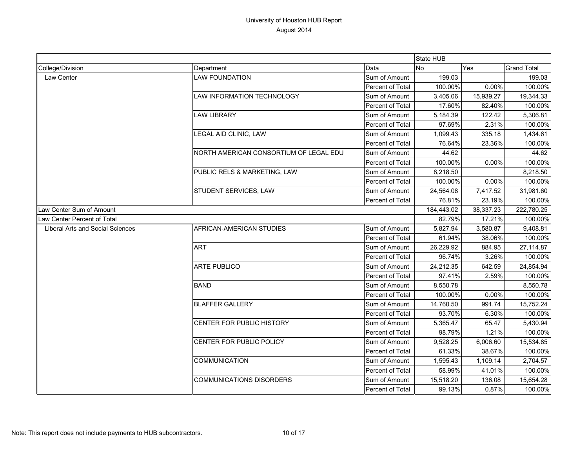|                                  |                                        |                  | State HUB |            |                    |
|----------------------------------|----------------------------------------|------------------|-----------|------------|--------------------|
| College/Division                 | Department                             | Data             | No        | Yes        | <b>Grand Total</b> |
| Law Center                       | <b>LAW FOUNDATION</b>                  | Sum of Amount    | 199.03    |            | 199.03             |
|                                  |                                        | Percent of Total | 100.00%   | 0.00%      | 100.00%            |
|                                  | LAW INFORMATION TECHNOLOGY             | Sum of Amount    | 3,405.06  | 15,939.27  | 19,344.33          |
|                                  |                                        | Percent of Total | 17.60%    | 82.40%     | 100.00%            |
|                                  | <b>LAW LIBRARY</b>                     | Sum of Amount    | 5,184.39  | 122.42     | 5,306.81           |
|                                  |                                        | Percent of Total | 97.69%    | 2.31%      | 100.00%            |
|                                  | LEGAL AID CLINIC, LAW                  | Sum of Amount    | 1,099.43  | 335.18     | 1,434.61           |
|                                  |                                        | Percent of Total | 76.64%    | 23.36%     | 100.00%            |
|                                  | NORTH AMERICAN CONSORTIUM OF LEGAL EDU | Sum of Amount    | 44.62     |            | 44.62              |
|                                  |                                        | Percent of Total | 100.00%   | 0.00%      | 100.00%            |
|                                  | PUBLIC RELS & MARKETING, LAW           | Sum of Amount    | 8,218.50  |            | 8,218.50           |
|                                  |                                        | Percent of Total | 100.00%   | 0.00%      | 100.00%            |
|                                  | STUDENT SERVICES, LAW                  | Sum of Amount    | 24,564.08 | 7,417.52   | 31,981.60          |
|                                  |                                        | Percent of Total | 76.81%    | 23.19%     | 100.00%            |
| Law Center Sum of Amount         |                                        | 184,443.02       | 38,337.23 | 222,780.25 |                    |
| Law Center Percent of Total      |                                        |                  | 82.79%    | 17.21%     | 100.00%            |
| Liberal Arts and Social Sciences | AFRICAN-AMERICAN STUDIES               | Sum of Amount    | 5,827.94  | 3,580.87   | 9,408.81           |
|                                  |                                        | Percent of Total | 61.94%    | 38.06%     | 100.00%            |
|                                  | <b>ART</b>                             | Sum of Amount    | 26,229.92 | 884.95     | 27,114.87          |
|                                  |                                        | Percent of Total | 96.74%    | 3.26%      | 100.00%            |
|                                  | <b>ARTE PUBLICO</b>                    | Sum of Amount    | 24,212.35 | 642.59     | 24,854.94          |
|                                  |                                        | Percent of Total | 97.41%    | 2.59%      | 100.00%            |
|                                  | <b>BAND</b>                            | Sum of Amount    | 8,550.78  |            | 8,550.78           |
|                                  |                                        | Percent of Total | 100.00%   | 0.00%      | 100.00%            |
|                                  | <b>BLAFFER GALLERY</b>                 | Sum of Amount    | 14,760.50 | 991.74     | 15,752.24          |
|                                  |                                        | Percent of Total | 93.70%    | 6.30%      | 100.00%            |
|                                  | CENTER FOR PUBLIC HISTORY              | Sum of Amount    | 5,365.47  | 65.47      | 5,430.94           |
|                                  |                                        | Percent of Total | 98.79%    | 1.21%      | 100.00%            |
|                                  | CENTER FOR PUBLIC POLICY               | Sum of Amount    | 9,528.25  | 6,006.60   | 15,534.85          |
|                                  |                                        | Percent of Total | 61.33%    | 38.67%     | 100.00%            |
|                                  | COMMUNICATION                          | Sum of Amount    | 1,595.43  | 1,109.14   | 2,704.57           |
|                                  |                                        | Percent of Total | 58.99%    | 41.01%     | 100.00%            |
|                                  | <b>COMMUNICATIONS DISORDERS</b>        | Sum of Amount    | 15,518.20 | 136.08     | 15,654.28          |
|                                  |                                        | Percent of Total | 99.13%    | 0.87%      | 100.00%            |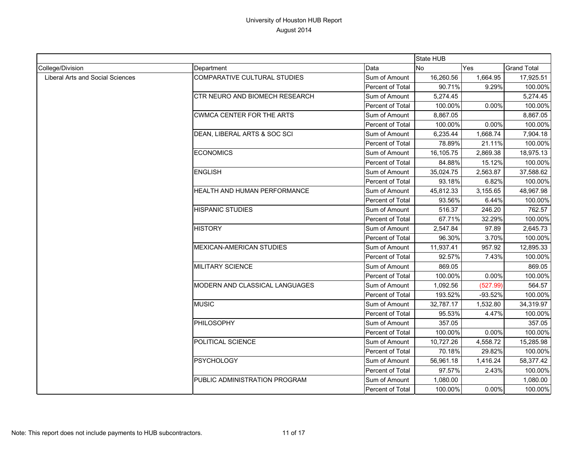|                                         |                                     |                  | State HUB |           |                    |
|-----------------------------------------|-------------------------------------|------------------|-----------|-----------|--------------------|
| College/Division                        | Department                          | Data             | <b>No</b> | Yes       | <b>Grand Total</b> |
| <b>Liberal Arts and Social Sciences</b> | <b>COMPARATIVE CULTURAL STUDIES</b> | Sum of Amount    | 16,260.56 | 1,664.95  | 17,925.51          |
|                                         |                                     | Percent of Total | 90.71%    | 9.29%     | 100.00%            |
|                                         | CTR NEURO AND BIOMECH RESEARCH      | Sum of Amount    | 5,274.45  |           | 5,274.45           |
|                                         |                                     | Percent of Total | 100.00%   | 0.00%     | 100.00%            |
|                                         | <b>CWMCA CENTER FOR THE ARTS</b>    | Sum of Amount    | 8,867.05  |           | 8,867.05           |
|                                         |                                     | Percent of Total | 100.00%   | 0.00%     | 100.00%            |
|                                         | DEAN, LIBERAL ARTS & SOC SCI        | Sum of Amount    | 6,235.44  | 1,668.74  | 7,904.18           |
|                                         |                                     | Percent of Total | 78.89%    | 21.11%    | 100.00%            |
|                                         | <b>ECONOMICS</b>                    | Sum of Amount    | 16,105.75 | 2,869.38  | 18,975.13          |
|                                         |                                     | Percent of Total | 84.88%    | 15.12%    | 100.00%            |
|                                         | <b>ENGLISH</b>                      | Sum of Amount    | 35,024.75 | 2,563.87  | 37,588.62          |
|                                         |                                     | Percent of Total | 93.18%    | 6.82%     | 100.00%            |
|                                         | <b>HEALTH AND HUMAN PERFORMANCE</b> | Sum of Amount    | 45,812.33 | 3,155.65  | 48,967.98          |
|                                         |                                     | Percent of Total | 93.56%    | 6.44%     | 100.00%            |
|                                         | <b>HISPANIC STUDIES</b>             | Sum of Amount    | 516.37    | 246.20    | 762.57             |
|                                         |                                     | Percent of Total | 67.71%    | 32.29%    | 100.00%            |
|                                         | <b>HISTORY</b>                      | Sum of Amount    | 2,547.84  | 97.89     | 2,645.73           |
|                                         |                                     | Percent of Total | 96.30%    | 3.70%     | 100.00%            |
|                                         | <b>MEXICAN-AMERICAN STUDIES</b>     | Sum of Amount    | 11,937.41 | 957.92    | 12,895.33          |
|                                         |                                     | Percent of Total | 92.57%    | 7.43%     | 100.00%            |
|                                         | <b>MILITARY SCIENCE</b>             | Sum of Amount    | 869.05    |           | 869.05             |
|                                         |                                     | Percent of Total | 100.00%   | 0.00%     | 100.00%            |
|                                         | MODERN AND CLASSICAL LANGUAGES      | Sum of Amount    | 1,092.56  | (527.99)  | 564.57             |
|                                         |                                     | Percent of Total | 193.52%   | $-93.52%$ | 100.00%            |
|                                         | <b>MUSIC</b>                        | Sum of Amount    | 32,787.17 | 1,532.80  | 34,319.97          |
|                                         |                                     | Percent of Total | 95.53%    | 4.47%     | 100.00%            |
|                                         | PHILOSOPHY                          | Sum of Amount    | 357.05    |           | 357.05             |
|                                         |                                     | Percent of Total | 100.00%   | 0.00%     | 100.00%            |
|                                         | POLITICAL SCIENCE                   | Sum of Amount    | 10,727.26 | 4,558.72  | 15,285.98          |
|                                         |                                     | Percent of Total | 70.18%    | 29.82%    | 100.00%            |
|                                         | <b>PSYCHOLOGY</b>                   | Sum of Amount    | 56,961.18 | 1,416.24  | 58,377.42          |
|                                         |                                     | Percent of Total | 97.57%    | 2.43%     | 100.00%            |
|                                         | PUBLIC ADMINISTRATION PROGRAM       | Sum of Amount    | 1,080.00  |           | 1,080.00           |
|                                         |                                     | Percent of Total | 100.00%   | 0.00%     | 100.00%            |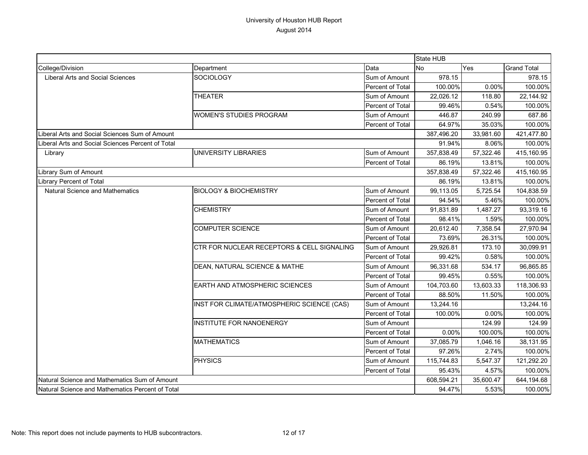|                                                   |                                            |                  | State HUB      |           |                    |
|---------------------------------------------------|--------------------------------------------|------------------|----------------|-----------|--------------------|
| College/Division                                  | Department                                 | Data             | N <sub>o</sub> | Yes       | <b>Grand Total</b> |
| Liberal Arts and Social Sciences                  | SOCIOLOGY                                  | Sum of Amount    | 978.15         |           | 978.15             |
|                                                   |                                            | Percent of Total | 100.00%        | 0.00%     | 100.00%            |
|                                                   | <b>THEATER</b>                             | Sum of Amount    | 22,026.12      | 118.80    | 22,144.92          |
|                                                   |                                            | Percent of Total | 99.46%         | 0.54%     | 100.00%            |
|                                                   | <b>WOMEN'S STUDIES PROGRAM</b>             | Sum of Amount    | 446.87         | 240.99    | 687.86             |
|                                                   |                                            | Percent of Total | 64.97%         | 35.03%    | 100.00%            |
| Liberal Arts and Social Sciences Sum of Amount    |                                            |                  | 387,496.20     | 33,981.60 | 421,477.80         |
| Liberal Arts and Social Sciences Percent of Total |                                            |                  | 91.94%         | 8.06%     | 100.00%            |
| Library                                           | UNIVERSITY LIBRARIES                       | Sum of Amount    | 357,838.49     | 57,322.46 | 415,160.95         |
|                                                   |                                            | Percent of Total | 86.19%         | 13.81%    | 100.00%            |
| Library Sum of Amount                             |                                            |                  | 357,838.49     | 57,322.46 | 415,160.95         |
| <b>Library Percent of Total</b>                   |                                            |                  | 86.19%         | 13.81%    | 100.00%            |
| Natural Science and Mathematics                   | <b>BIOLOGY &amp; BIOCHEMISTRY</b>          | Sum of Amount    | 99,113.05      | 5,725.54  | 104,838.59         |
|                                                   |                                            | Percent of Total | 94.54%         | 5.46%     | 100.00%            |
|                                                   | <b>CHEMISTRY</b>                           | Sum of Amount    | 91,831.89      | 1,487.27  | 93,319.16          |
|                                                   |                                            | Percent of Total | 98.41%         | 1.59%     | 100.00%            |
|                                                   | <b>COMPUTER SCIENCE</b>                    | Sum of Amount    | 20,612.40      | 7,358.54  | 27,970.94          |
|                                                   |                                            | Percent of Total | 73.69%         | 26.31%    | 100.00%            |
|                                                   | CTR FOR NUCLEAR RECEPTORS & CELL SIGNALING | Sum of Amount    | 29,926.81      | 173.10    | 30,099.91          |
|                                                   |                                            | Percent of Total | 99.42%         | 0.58%     | 100.00%            |
|                                                   | DEAN, NATURAL SCIENCE & MATHE              | Sum of Amount    | 96,331.68      | 534.17    | 96,865.85          |
|                                                   |                                            | Percent of Total | 99.45%         | 0.55%     | 100.00%            |
|                                                   | EARTH AND ATMOSPHERIC SCIENCES             | Sum of Amount    | 104,703.60     | 13,603.33 | 118,306.93         |
|                                                   |                                            | Percent of Total | 88.50%         | 11.50%    | 100.00%            |
|                                                   | INST FOR CLIMATE/ATMOSPHERIC SCIENCE (CAS) | Sum of Amount    | 13,244.16      |           | 13,244.16          |
|                                                   |                                            | Percent of Total | 100.00%        | 0.00%     | 100.00%            |
|                                                   | INSTITUTE FOR NANOENERGY                   | Sum of Amount    |                | 124.99    | 124.99             |
|                                                   |                                            | Percent of Total | 0.00%          | 100.00%   | 100.00%            |
|                                                   | <b>MATHEMATICS</b>                         | Sum of Amount    | 37,085.79      | 1,046.16  | 38,131.95          |
|                                                   |                                            | Percent of Total | 97.26%         | 2.74%     | 100.00%            |
|                                                   | <b>PHYSICS</b>                             | Sum of Amount    | 115,744.83     | 5,547.37  | 121,292.20         |
|                                                   |                                            | Percent of Total | 95.43%         | 4.57%     | 100.00%            |
| Natural Science and Mathematics Sum of Amount     |                                            |                  | 608,594.21     | 35,600.47 | 644,194.68         |
| Natural Science and Mathematics Percent of Total  |                                            |                  | 94.47%         | 5.53%     | 100.00%            |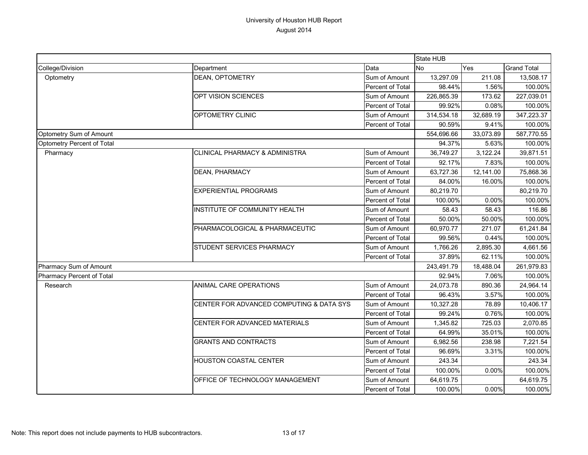|                            |                                          |                  | <b>State HUB</b> |            |                    |
|----------------------------|------------------------------------------|------------------|------------------|------------|--------------------|
| College/Division           | Department                               | Data             | <b>No</b><br>Yes |            | <b>Grand Total</b> |
| Optometry                  | DEAN, OPTOMETRY                          | Sum of Amount    | 13,297.09        | 211.08     | 13,508.17          |
|                            |                                          | Percent of Total | 98.44%           | 1.56%      | 100.00%            |
|                            | OPT VISION SCIENCES                      | Sum of Amount    | 226,865.39       | 173.62     | 227,039.01         |
|                            |                                          | Percent of Total | 99.92%           | 0.08%      | 100.00%            |
|                            | OPTOMETRY CLINIC                         | Sum of Amount    | 314,534.18       | 32,689.19  | 347,223.37         |
|                            |                                          | Percent of Total | 90.59%           | 9.41%      | 100.00%            |
| Optometry Sum of Amount    |                                          |                  | 554,696.66       | 33,073.89  | 587,770.55         |
| Optometry Percent of Total |                                          |                  | 94.37%           | 5.63%      | 100.00%            |
| Pharmacy                   | CLINICAL PHARMACY & ADMINISTRA           | Sum of Amount    | 36,749.27        | 3,122.24   | 39,871.51          |
|                            |                                          | Percent of Total | 92.17%           | 7.83%      | 100.00%            |
|                            | DEAN, PHARMACY                           | Sum of Amount    | 63,727.36        | 12,141.00  | 75,868.36          |
|                            |                                          | Percent of Total | 84.00%           | 16.00%     | 100.00%            |
|                            | <b>EXPERIENTIAL PROGRAMS</b>             | Sum of Amount    | 80,219.70        |            | 80,219.70          |
|                            |                                          | Percent of Total | 100.00%          | 0.00%      | 100.00%            |
|                            | INSTITUTE OF COMMUNITY HEALTH            | Sum of Amount    | 58.43            | 58.43      | 116.86             |
|                            |                                          | Percent of Total | 50.00%           | 50.00%     | 100.00%            |
|                            | PHARMACOLOGICAL & PHARMACEUTIC           | Sum of Amount    | 60,970.77        | 271.07     | 61,241.84          |
|                            |                                          | Percent of Total | 99.56%           | 0.44%      | 100.00%            |
|                            | STUDENT SERVICES PHARMACY                | Sum of Amount    | 1,766.26         | 2,895.30   | 4,661.56           |
|                            |                                          | Percent of Total | 37.89%           | 62.11%     | 100.00%            |
| Pharmacy Sum of Amount     |                                          | 243,491.79       | 18,488.04        | 261,979.83 |                    |
| Pharmacy Percent of Total  |                                          |                  | 92.94%           | 7.06%      | 100.00%            |
| Research                   | ANIMAL CARE OPERATIONS                   | Sum of Amount    | 24,073.78        | 890.36     | 24,964.14          |
|                            |                                          | Percent of Total | 96.43%           | 3.57%      | 100.00%            |
|                            | CENTER FOR ADVANCED COMPUTING & DATA SYS | Sum of Amount    | 10,327.28        | 78.89      | 10,406.17          |
|                            |                                          | Percent of Total | 99.24%           | 0.76%      | 100.00%            |
|                            | CENTER FOR ADVANCED MATERIALS            | Sum of Amount    | 1,345.82         | 725.03     | 2,070.85           |
|                            |                                          | Percent of Total | 64.99%           | 35.01%     | 100.00%            |
|                            | <b>GRANTS AND CONTRACTS</b>              | Sum of Amount    | 6,982.56         | 238.98     | 7,221.54           |
|                            |                                          | Percent of Total | 96.69%           | 3.31%      | 100.00%            |
|                            | HOUSTON COASTAL CENTER                   | Sum of Amount    | 243.34           |            | 243.34             |
|                            |                                          | Percent of Total | 100.00%          | 0.00%      | 100.00%            |
|                            | OFFICE OF TECHNOLOGY MANAGEMENT          | Sum of Amount    | 64,619.75        |            | 64,619.75          |
|                            |                                          | Percent of Total | 100.00%          | 0.00%      | 100.00%            |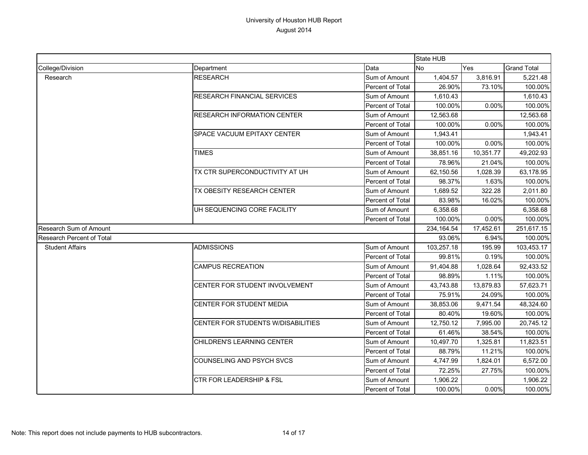|                           |                                     |                  | State HUB   |           |                    |
|---------------------------|-------------------------------------|------------------|-------------|-----------|--------------------|
| College/Division          | Department                          | Data             | <b>No</b>   | Yes       | <b>Grand Total</b> |
| Research                  | <b>RESEARCH</b>                     | Sum of Amount    | 1,404.57    | 3,816.91  | 5,221.48           |
|                           |                                     | Percent of Total | 26.90%      | 73.10%    | 100.00%            |
|                           | RESEARCH FINANCIAL SERVICES         | Sum of Amount    | 1,610.43    |           | 1,610.43           |
|                           |                                     | Percent of Total | 100.00%     | 0.00%     | 100.00%            |
|                           | <b>RESEARCH INFORMATION CENTER</b>  | Sum of Amount    | 12,563.68   |           | 12,563.68          |
|                           |                                     | Percent of Total | 100.00%     | 0.00%     | 100.00%            |
|                           | <b>SPACE VACUUM EPITAXY CENTER</b>  | Sum of Amount    | 1,943.41    |           | 1,943.41           |
|                           |                                     | Percent of Total | 100.00%     | 0.00%     | 100.00%            |
|                           | <b>TIMES</b>                        | Sum of Amount    | 38,851.16   | 10,351.77 | 49,202.93          |
|                           |                                     | Percent of Total | 78.96%      | 21.04%    | 100.00%            |
|                           | TX CTR SUPERCONDUCTIVITY AT UH      | Sum of Amount    | 62,150.56   | 1,028.39  | 63,178.95          |
|                           |                                     | Percent of Total | 98.37%      | 1.63%     | 100.00%            |
|                           | TX OBESITY RESEARCH CENTER          | Sum of Amount    | 1,689.52    | 322.28    | 2,011.80           |
|                           |                                     | Percent of Total | 83.98%      | 16.02%    | 100.00%            |
|                           | UH SEQUENCING CORE FACILITY         | Sum of Amount    | 6,358.68    |           | 6,358.68           |
|                           |                                     | Percent of Total | 100.00%     | 0.00%     | 100.00%            |
| Research Sum of Amount    |                                     |                  | 234, 164.54 | 17,452.61 | 251,617.15         |
| Research Percent of Total |                                     |                  | 93.06%      | 6.94%     | 100.00%            |
| <b>Student Affairs</b>    | <b>ADMISSIONS</b>                   | Sum of Amount    | 103,257.18  | 195.99    | 103,453.17         |
|                           |                                     | Percent of Total | 99.81%      | 0.19%     | 100.00%            |
|                           | <b>CAMPUS RECREATION</b>            | Sum of Amount    | 91,404.88   | 1,028.64  | 92,433.52          |
|                           |                                     | Percent of Total | 98.89%      | 1.11%     | 100.00%            |
|                           | CENTER FOR STUDENT INVOLVEMENT      | Sum of Amount    | 43,743.88   | 13,879.83 | 57,623.71          |
|                           |                                     | Percent of Total | 75.91%      | 24.09%    | 100.00%            |
|                           | CENTER FOR STUDENT MEDIA            | Sum of Amount    | 38,853.06   | 9,471.54  | 48,324.60          |
|                           |                                     | Percent of Total | 80.40%      | 19.60%    | 100.00%            |
|                           | CENTER FOR STUDENTS W/DISABILITIES  | Sum of Amount    | 12,750.12   | 7,995.00  | 20,745.12          |
|                           |                                     | Percent of Total | 61.46%      | 38.54%    | 100.00%            |
|                           | CHILDREN'S LEARNING CENTER          | Sum of Amount    | 10,497.70   | 1,325.81  | 11,823.51          |
|                           |                                     | Percent of Total | 88.79%      | 11.21%    | 100.00%            |
|                           | COUNSELING AND PSYCH SVCS           | Sum of Amount    | 4,747.99    | 1,824.01  | 6,572.00           |
|                           |                                     | Percent of Total | 72.25%      | 27.75%    | 100.00%            |
|                           | <b>CTR FOR LEADERSHIP &amp; FSL</b> | Sum of Amount    | 1,906.22    |           | 1,906.22           |
|                           |                                     | Percent of Total | 100.00%     | 0.00%     | 100.00%            |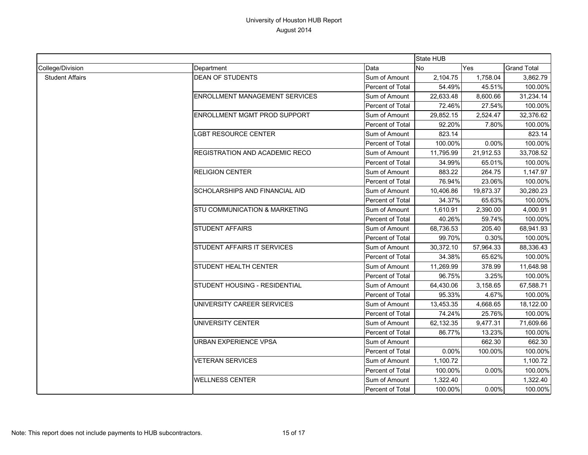|                        |                                          |                  | State HUB |           |                    |
|------------------------|------------------------------------------|------------------|-----------|-----------|--------------------|
| College/Division       | Department                               | Data             | <b>No</b> | Yes       | <b>Grand Total</b> |
| <b>Student Affairs</b> | <b>DEAN OF STUDENTS</b>                  | Sum of Amount    | 2,104.75  | 1,758.04  | 3,862.79           |
|                        |                                          | Percent of Total | 54.49%    | 45.51%    | 100.00%            |
|                        | <b>ENROLLMENT MANAGEMENT SERVICES</b>    | Sum of Amount    | 22,633.48 | 8,600.66  | 31,234.14          |
|                        |                                          | Percent of Total | 72.46%    | 27.54%    | 100.00%            |
|                        | <b>ENROLLMENT MGMT PROD SUPPORT</b>      | Sum of Amount    | 29,852.15 | 2,524.47  | 32,376.62          |
|                        |                                          | Percent of Total | 92.20%    | 7.80%     | 100.00%            |
|                        | <b>LGBT RESOURCE CENTER</b>              | Sum of Amount    | 823.14    |           | 823.14             |
|                        |                                          | Percent of Total | 100.00%   | 0.00%     | 100.00%            |
|                        | REGISTRATION AND ACADEMIC RECO           | Sum of Amount    | 11,795.99 | 21,912.53 | 33,708.52          |
|                        |                                          | Percent of Total | 34.99%    | 65.01%    | 100.00%            |
|                        | <b>RELIGION CENTER</b>                   | Sum of Amount    | 883.22    | 264.75    | 1,147.97           |
|                        |                                          | Percent of Total | 76.94%    | 23.06%    | 100.00%            |
|                        | SCHOLARSHIPS AND FINANCIAL AID           | Sum of Amount    | 10,406.86 | 19,873.37 | 30,280.23          |
|                        |                                          | Percent of Total | 34.37%    | 65.63%    | 100.00%            |
|                        | <b>STU COMMUNICATION &amp; MARKETING</b> | Sum of Amount    | 1,610.91  | 2,390.00  | 4,000.91           |
|                        |                                          | Percent of Total | 40.26%    | 59.74%    | 100.00%            |
|                        | <b>STUDENT AFFAIRS</b>                   | Sum of Amount    | 68,736.53 | 205.40    | 68,941.93<br>0.30% |
|                        |                                          | Percent of Total | 99.70%    |           | 100.00%            |
|                        | STUDENT AFFAIRS IT SERVICES              | Sum of Amount    | 30,372.10 | 57,964.33 | 88,336.43          |
|                        |                                          | Percent of Total | 34.38%    | 65.62%    | 100.00%            |
|                        | STUDENT HEALTH CENTER                    | Sum of Amount    | 11,269.99 | 378.99    | 11,648.98          |
|                        |                                          | Percent of Total | 96.75%    | 3.25%     | 100.00%            |
|                        | STUDENT HOUSING - RESIDENTIAL            | Sum of Amount    | 64,430.06 | 3,158.65  | 67,588.71          |
|                        |                                          | Percent of Total | 95.33%    | 4.67%     | 100.00%            |
|                        | UNIVERSITY CAREER SERVICES               | Sum of Amount    | 13,453.35 | 4,668.65  | 18,122.00          |
|                        |                                          | Percent of Total | 74.24%    | 25.76%    | 100.00%            |
|                        | UNIVERSITY CENTER                        | Sum of Amount    | 62,132.35 | 9,477.31  | 71,609.66          |
|                        |                                          | Percent of Total | 86.77%    | 13.23%    | 100.00%            |
|                        | URBAN EXPERIENCE VPSA                    | Sum of Amount    |           | 662.30    | 662.30             |
|                        |                                          | Percent of Total | 0.00%     | 100.00%   | 100.00%            |
|                        | <b>VETERAN SERVICES</b>                  | Sum of Amount    | 1,100.72  |           | 1,100.72           |
|                        |                                          | Percent of Total | 100.00%   | 0.00%     | 100.00%            |
|                        | <b>WELLNESS CENTER</b>                   | Sum of Amount    | 1,322.40  |           | 1,322.40           |
|                        |                                          | Percent of Total | 100.00%   | 0.00%     | 100.00%            |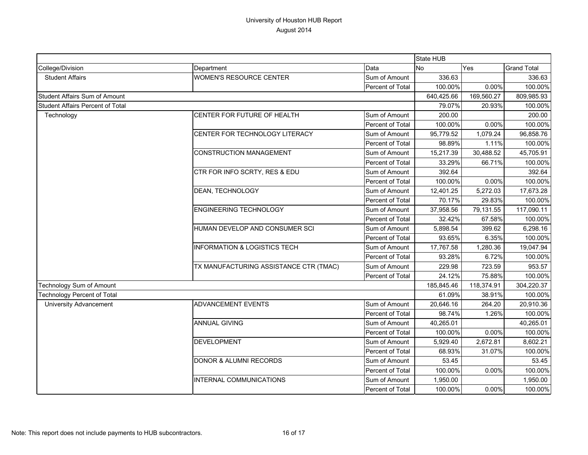|                                    |                                         |                         | <b>State HUB</b> |            |                    |
|------------------------------------|-----------------------------------------|-------------------------|------------------|------------|--------------------|
| College/Division                   | Department                              | Data                    | <b>No</b>        | Yes        | <b>Grand Total</b> |
| <b>Student Affairs</b>             | <b>WOMEN'S RESOURCE CENTER</b>          | Sum of Amount           | 336.63           |            | 336.63             |
|                                    |                                         | Percent of Total        | 100.00%          | 0.00%      | 100.00%            |
| Student Affairs Sum of Amount      |                                         | 640,425.66              | 169,560.27       | 809,985.93 |                    |
| Student Affairs Percent of Total   |                                         |                         | 79.07%           | 20.93%     | 100.00%            |
| Technology                         | CENTER FOR FUTURE OF HEALTH             | Sum of Amount           | 200.00           |            | 200.00             |
|                                    |                                         | Percent of Total        | 100.00%          | 0.00%      | 100.00%            |
|                                    | CENTER FOR TECHNOLOGY LITERACY          | Sum of Amount           | 95,779.52        | 1,079.24   | 96,858.76          |
|                                    |                                         | Percent of Total        | 98.89%           | 1.11%      | 100.00%            |
|                                    | <b>CONSTRUCTION MANAGEMENT</b>          | Sum of Amount           | 15,217.39        | 30,488.52  | 45,705.91          |
|                                    |                                         | Percent of Total        | 33.29%           | 66.71%     | 100.00%            |
|                                    | CTR FOR INFO SCRTY, RES & EDU           | Sum of Amount           | 392.64           |            | 392.64             |
|                                    |                                         | Percent of Total        | 100.00%          | 0.00%      | 100.00%            |
|                                    | DEAN, TECHNOLOGY                        | Sum of Amount           | 12,401.25        | 5,272.03   | 17,673.28          |
|                                    |                                         | Percent of Total        | 70.17%           | 29.83%     | 100.00%            |
|                                    | <b>ENGINEERING TECHNOLOGY</b>           | Sum of Amount           | 37,958.56        | 79,131.55  | 117,090.11         |
|                                    |                                         | Percent of Total        | 32.42%           | 67.58%     | 100.00%            |
|                                    | HUMAN DEVELOP AND CONSUMER SCI          | Sum of Amount           | 5,898.54         | 399.62     | 6,298.16           |
|                                    |                                         | Percent of Total        | 93.65%           | 6.35%      | 100.00%            |
|                                    | <b>INFORMATION &amp; LOGISTICS TECH</b> | Sum of Amount           | 17,767.58        | 1.280.36   | 19,047.94          |
|                                    |                                         | Percent of Total        | 93.28%           | 6.72%      | 100.00%            |
|                                    | TX MANUFACTURING ASSISTANCE CTR (TMAC)  | Sum of Amount           | 229.98           | 723.59     | 953.57             |
|                                    |                                         | <b>Percent of Total</b> | 24.12%           | 75.88%     | 100.00%            |
| Technology Sum of Amount           |                                         |                         | 185,845.46       | 118,374.91 | 304,220.37         |
| <b>Technology Percent of Total</b> |                                         |                         | 61.09%           | 38.91%     | 100.00%            |
| <b>University Advancement</b>      | <b>ADVANCEMENT EVENTS</b>               | Sum of Amount           | 20,646.16        | 264.20     | 20,910.36          |
|                                    |                                         | Percent of Total        | 98.74%           | 1.26%      | 100.00%            |
|                                    | <b>ANNUAL GIVING</b>                    | Sum of Amount           | 40,265.01        |            | 40,265.01          |
|                                    |                                         | Percent of Total        | 100.00%          | 0.00%      | 100.00%            |
|                                    | <b>DEVELOPMENT</b>                      | Sum of Amount           | 5,929.40         | 2,672.81   | 8,602.21           |
|                                    |                                         | Percent of Total        | 68.93%           | 31.07%     | 100.00%            |
|                                    | DONOR & ALUMNI RECORDS                  | Sum of Amount           | 53.45            |            | 53.45              |
|                                    |                                         | Percent of Total        | 100.00%          | 0.00%      | 100.00%            |
|                                    | INTERNAL COMMUNICATIONS                 | Sum of Amount           | 1,950.00         |            | 1,950.00           |
|                                    |                                         | Percent of Total        | 100.00%          | 0.00%      | 100.00%            |